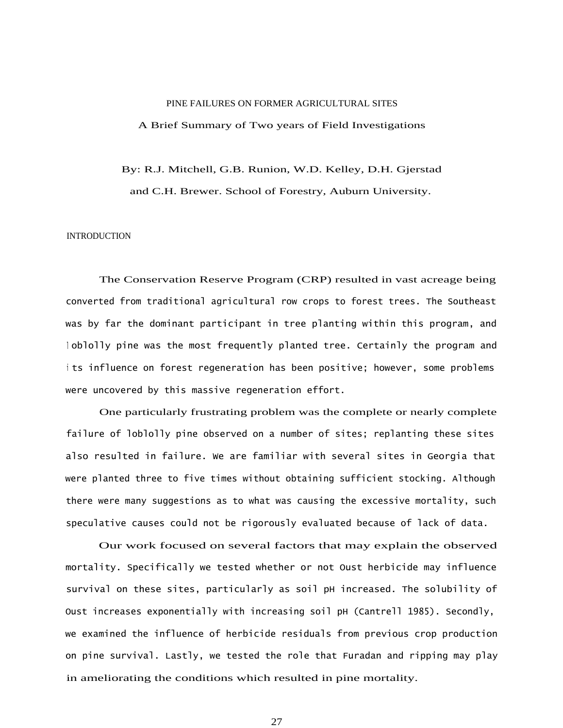#### PINE FAILURES ON FORMER AGRICULTURAL SITES

### A Brief Summary of Two years of Field Investigations

#### By: R.J. Mitchell, G.B. Runion, W.D. Kelley, D.H. Gjerstad

and C.H. Brewer. School of Forestry, Auburn University.

# **INTRODUCTION**

The Conservation Reserve Program (CRP) resulted in vast acreage being converted from traditional agricultural row crops to forest trees. The Southeast was by far the dominant participant in tree planting within this program, and <sup>l</sup> oblolly pine was the most frequently planted tree. Certainly the program and <sup>i</sup> ts influence on forest regeneration has been positive; however, some problems were uncovered by this massive regeneration effort.

One particularly frustrating problem was the complete or nearly complete failure of loblolly pine observed on a number of sites; replanting these sites also resulted in failure. We are familiar with several sites in Georgia that were planted three to five times without obtaining sufficient stocking. Although there were many suggestions as to what was causing the excessive mortality, such speculative causes could not be rigorously evaluated because of lack of data.

Our work focused on several factors that may explain the observed mortality. Specifically we tested whether or not Oust herbicide may influence survival on these sites, particularly as soil pH increased. The solubility of Oust increases exponentially with increasing soil pH (Cantrell 1985). Secondly, we examined the influence of herbicide residuals from previous crop production on pine survival. Lastly, we tested the role that Furadan and ripping may play in ameliorating the conditions which resulted in pine mortality.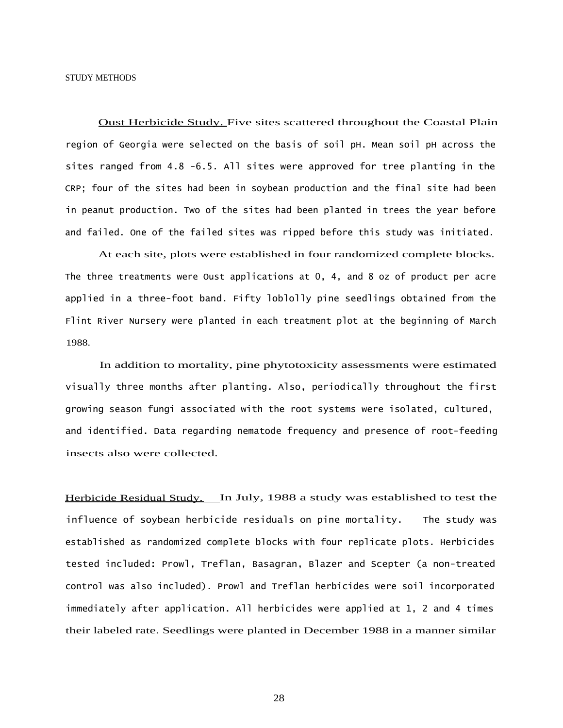STUDY METHODS

Oust Herbicide Study. Five sites scattered throughout the Coastal Plain region of Georgia were selected on the basis of soil pH. Mean soil pH across the sites ranged from 4.8 -6.5. All sites were approved for tree planting in the CRP; four of the sites had been in soybean production and the final site had been in peanut production. Two of the sites had been planted in trees the year before and failed. One of the failed sites was ripped before this study was initiated.

At each site, plots were established in four randomized complete blocks. The three treatments were Oust applications at 0, 4, and 8 oz of product per acre applied in a three-foot band. Fifty loblolly pine seedlings obtained from the Flint River Nursery were planted in each treatment plot at the beginning of March 1988.

In addition to mortality, pine phytotoxicity assessments were estimated visually three months after planting. Also, periodically throughout the first growing season fungi associated with the root systems were isolated, cultured, and identified. Data regarding nematode frequency and presence of root-feeding insects also were collected.

Herbicide Residual Study. In July, 1988 a study was established to test the influence of soybean herbicide residuals on pine mortality. The study was established as randomized complete blocks with four replicate plots. Herbicides tested included: Prowl, Treflan, Basagran, Blazer and Scepter (a non-treated control was also included). Prowl and Treflan herbicides were soil incorporated immediately after application. All herbicides were applied at 1, 2 and 4 times their labeled rate. Seedlings were planted in December 1988 in a manner similar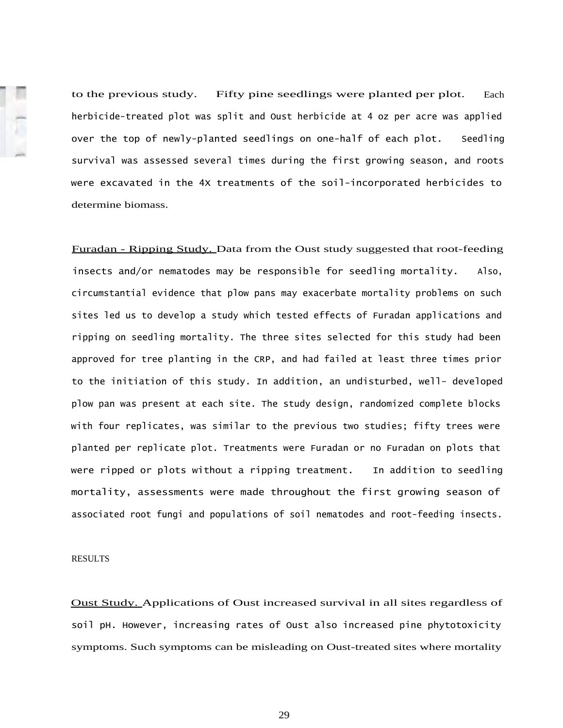to the previous study. Fifty pine seedlings were planted per plot. Each herbicide-treated plot was split and Oust herbicide at 4 oz per acre was applied over the top of newly-planted seedlings on one-half of each plot. Seedling survival was assessed several times during the first growing season, and roots were excavated in the 4X treatments of the soil-incorporated herbicides to determine biomass.

Furadan - Ripping Study. Data from the Oust study suggested that root-feeding insects and/or nematodes may be responsible for seedling mortality. Also, circumstantial evidence that plow pans may exacerbate mortality problems on such sites led us to develop a study which tested effects of Furadan applications and ripping on seedling mortality. The three sites selected for this study had been approved for tree planting in the CRP, and had failed at least three times prior to the initiation of this study. In addition, an undisturbed, well- developed plow pan was present at each site. The study design, randomized complete blocks with four replicates, was similar to the previous two studies; fifty trees were planted per replicate plot. Treatments were Furadan or no Furadan on plots that were ripped or plots without a ripping treatment. In addition to seedling mortality, assessments were made throughout the first growing season of associated root fungi and populations of soil nematodes and root-feeding insects.

## RESULTS

Oust Study. Applications of Oust increased survival in all sites regardless of soil pH. However, increasing rates of Oust also increased pine phytotoxicity symptoms. Such symptoms can be misleading on Oust-treated sites where mortality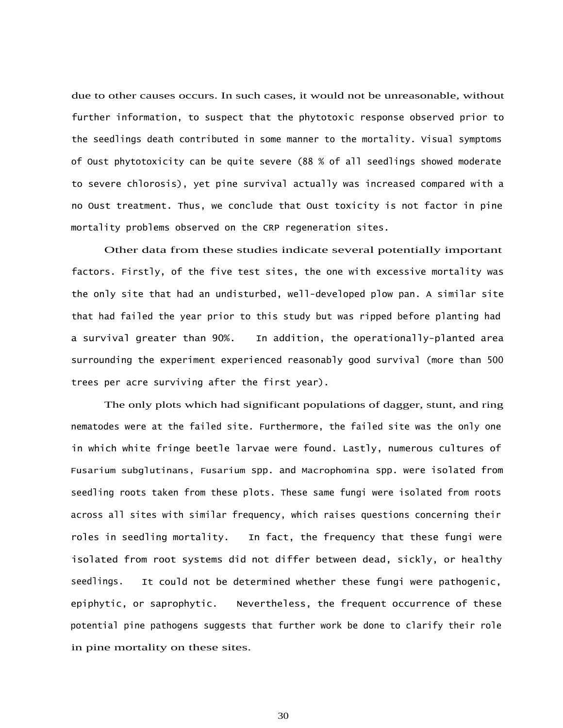due to other causes occurs. In such cases, it would not be unreasonable, without further information, to suspect that the phytotoxic response observed prior to the seedlings death contributed in some manner to the mortality. Visual symptoms of Oust phytotoxicity can be quite severe (88 % of all seedlings showed moderate to severe chlorosis), yet pine survival actually was increased compared with a no Oust treatment. Thus, we conclude that Oust toxicity is not factor in pine mortality problems observed on the CRP regeneration sites.

Other data from these studies indicate several potentially important factors. Firstly, of the five test sites, the one with excessive mortality was the only site that had an undisturbed, well-developed plow pan. A similar site that had failed the year prior to this study but was ripped before planting had a survival greater than 90%. In addition, the operationally-planted area surrounding the experiment experienced reasonably good survival (more than 500 trees per acre surviving after the first year).

The only plots which had significant populations of dagger, stunt, and ring nematodes were at the failed site. Furthermore, the failed site was the only one in which white fringe beetle larvae were found. Lastly, numerous cultures of Fusarium subglutinans, Fusarium spp. and Macrophomina spp. were isolated from seedling roots taken from these plots. These same fungi were isolated from roots across all sites with similar frequency, which raises questions concerning their roles in seedling mortality. In fact, the frequency that these fungi were isolated from root systems did not differ between dead, sickly, or healthy seedlings. It could not be determined whether these fungi were pathogenic, epiphytic, or saprophytic. Nevertheless, the frequent occurrence of these potential pine pathogens suggests that further work be done to clarify their role in pine mortality on these sites.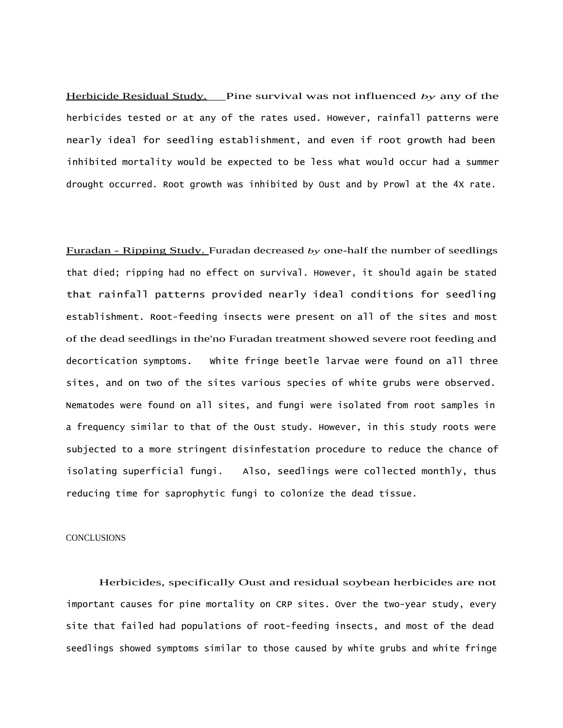Herbicide Residual Study. Pine survival was not influenced *by* any of the herbicides tested or at any of the rates used. However, rainfall patterns were nearly ideal for seedling establishment, and even if root growth had been inhibited mortality would be expected to be less what would occur had a summer drought occurred. Root growth was inhibited by Oust and by Prowl at the 4X rate.

Furadan - Ripping Study. Furadan decreased *by* one-half the number of seedlings that died; ripping had no effect on survival. However, it should again be stated that rainfall patterns provided nearly ideal conditions for seedling establishment. Root-feeding insects were present on all of the sites and most of the dead seedlings in the'no Furadan treatment showed severe root feeding and decortication symptoms. White fringe beetle larvae were found on all three sites, and on two of the sites various species of white grubs were observed. Nematodes were found on all sites, and fungi were isolated from root samples in a frequency similar to that of the Oust study. However, in this study roots were subjected to a more stringent disinfestation procedure to reduce the chance of isolating superficial fungi. Also, seedlings were collected monthly, thus reducing time for saprophytic fungi to colonize the dead tissue.

## **CONCLUSIONS**

Herbicides, specifically Oust and residual soybean herbicides are not important causes for pine mortality on CRP sites. Over the two-year study, every site that failed had populations of root-feeding insects, and most of the dead seedlings showed symptoms similar to those caused by white grubs and white fringe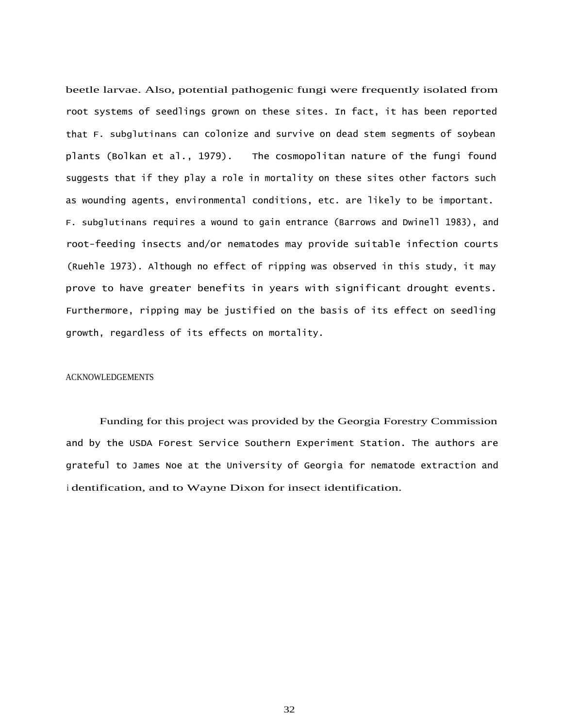beetle larvae. Also, potential pathogenic fungi were frequently isolated from root systems of seedlings grown on these sites. In fact, it has been reported that F. subglutinans can colonize and survive on dead stem segments of soybean plants (Bolkan et al., 1979). The cosmopolitan nature of the fungi found suggests that if they play a role in mortality on these sites other factors such as wounding agents, environmental conditions, etc. are likely to be important. F. subglutinans requires a wound to gain entrance (Barrows and Dwinell 1983), and root-feeding insects and/or nematodes may provide suitable infection courts (Ruehle 1973). Although no effect of ripping was observed in this study, it may prove to have greater benefits in years with significant drought events. Furthermore, ripping may be justified on the basis of its effect on seedling growth, regardless of its effects on mortality.

#### ACKNOWLEDGEMENTS

Funding for this project was provided by the Georgia Forestry Commission and by the USDA Forest Service Southern Experiment Station. The authors are grateful to James Noe at the University of Georgia for nematode extraction and <sup>i</sup> dentification, and to Wayne Dixon for insect identification.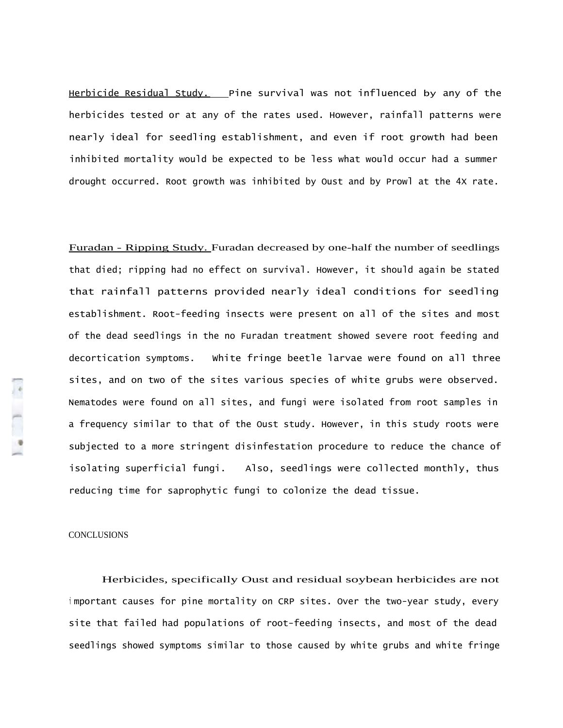Herbicide Residual Study. Pine survival was not influenced by any of the herbicides tested or at any of the rates used. However, rainfall patterns were nearly ideal for seedling establishment, and even if root growth had been inhibited mortality would be expected to be less what would occur had a summer drought occurred. Root growth was inhibited by Oust and by Prowl at the 4X rate.

Furadan - Ripping Study. Furadan decreased by one-half the number of seedlings that died; ripping had no effect on survival. However, it should again be stated that rainfall patterns provided nearly ideal conditions for seedling establishment. Root-feeding insects were present on all of the sites and most of the dead seedlings in the no Furadan treatment showed severe root feeding and decortication symptoms. White fringe beetle larvae were found on all three sites, and on two of the sites various species of white grubs were observed. Nematodes were found on all sites, and fungi were isolated from root samples in a frequency similar to that of the Oust study. However, in this study roots were subjected to a more stringent disinfestation procedure to reduce the chance of isolating superficial fungi. Also, seedlings were collected monthly, thus reducing time for saprophytic fungi to colonize the dead tissue.

#### **CONCLUSIONS**

 $\begin{bmatrix} 1 & 1 \\ 1 & 1 \end{bmatrix}$ 

Herbicides, specifically Oust and residual soybean herbicides are not <sup>i</sup> mportant causes for pine mortality on CRP sites. Over the two-year study, every site that failed had populations of root-feeding insects, and most of the dead seedlings showed symptoms similar to those caused by white grubs and white fringe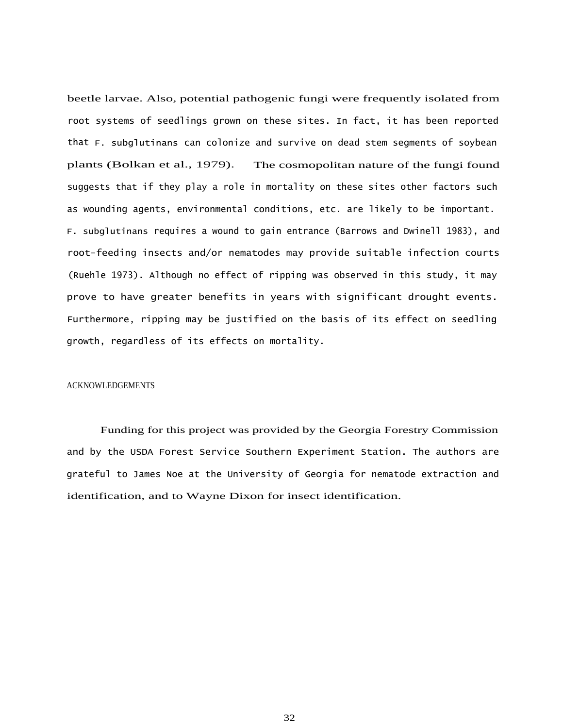beetle larvae. Also, potential pathogenic fungi were frequently isolated from root systems of seedlings grown on these sites. In fact, it has been reported that F. subglutinans can colonize and survive on dead stem segments of soybean plants (Bolkan et al., 1979). The cosmopolitan nature of the fungi found suggests that if they play a role in mortality on these sites other factors such as wounding agents, environmental conditions, etc. are likely to be important. F. subglutinans requires a wound to gain entrance (Barrows and Dwinell 1983), and root-feeding insects and/or nematodes may provide suitable infection courts (Ruehle 1973). Although no effect of ripping was observed in this study, it may prove to have greater benefits in years with significant drought events. Furthermore, ripping may be justified on the basis of its effect on seedling growth, regardless of its effects on mortality.

# ACKNOWLEDGEMENTS

Funding for this project was provided by the Georgia Forestry Commission and by the USDA Forest Service Southern Experiment Station. The authors are grateful to James Noe at the University of Georgia for nematode extraction and identification, and to Wayne Dixon for insect identification.